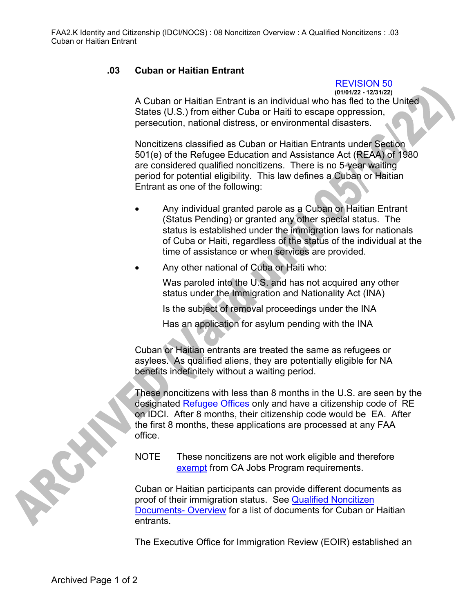## **.03 Cuban or Haitian Entrant**

## REVISION 50

**(01/01/22 - 12/31/22)**

A Cuban or Haitian Entrant is an individual who has fled to the United States (U.S.) from either Cuba or Haiti to escape oppression, persecution, national distress, or environmental disasters.

Noncitizens classified as Cuban or Haitian Entrants under Section 501(e) of the Refugee Education and Assistance Act (REAA) of 1980 are considered qualified noncitizens. There is no 5-year waiting period for potential eligibility. This law defines a Cuban or Haitian Entrant as one of the following:

- Any individual granted parole as a Cuban or Haitian Entrant (Status Pending) or granted any other special status. The status is established under the immigration laws for nationals of Cuba or Haiti, regardless of the status of the individual at the time of assistance or when services are provided.
- Any other national of Cuba or Haiti who:

Was paroled into the U.S. and has not acquired any other status under the Immigration and Nationality Act (INA)

Is the subject of removal proceedings under the INA

Has an application for asylum pending with the INA

Cuban or Haitian entrants are treated the same as refugees or asylees. As qualified aliens, they are potentially eligible for NA benefits indefinitely without a waiting period.

These noncitizens with less than 8 months in the U.S. are seen by the designated Refugee Offices only and have a citizenship code of RE on IDCI. After 8 months, their citizenship code would be EA. After the first 8 months, these applications are processed at any FAA office.

NOTE These noncitizens are not work eligible and therefore exempt from CA Jobs Program requirements.

Cuban or Haitian participants can provide different documents as proof of their immigration status. See Qualified Noncitizen Documents- Overview for a list of documents for Cuban or Haitian entrants.

The Executive Office for Immigration Review (EOIR) established an